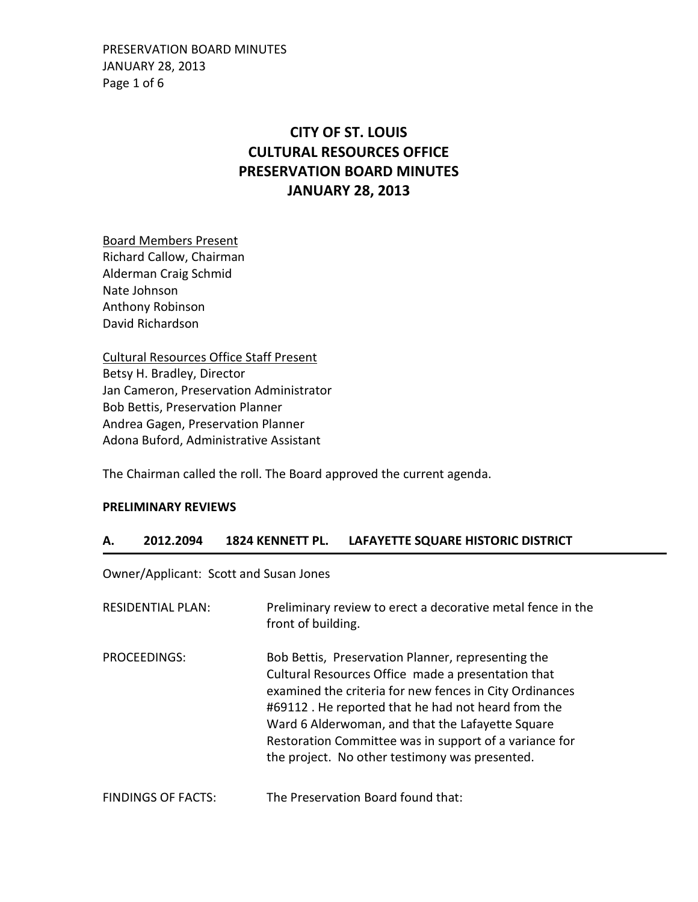PRESERVATION BOARD MINUTES JANUARY 28, 2013 Page 1 of 6

# **CITY OF ST. LOUIS CULTURAL RESOURCES OFFICE PRESERVATION BOARD MINUTES JANUARY 28, 2013**

Board Members Present

Richard Callow, Chairman Alderman Craig Schmid Nate Johnson Anthony Robinson David Richardson

Cultural Resources Office Staff Present Betsy H. Bradley, Director Jan Cameron, Preservation Administrator Bob Bettis, Preservation Planner Andrea Gagen, Preservation Planner Adona Buford, Administrative Assistant

The Chairman called the roll. The Board approved the current agenda.

### **PRELIMINARY REVIEWS**

### **A. 2012.2094 1824 KENNETT PL. LAFAYETTE SQUARE HISTORIC DISTRICT**

Owner/Applicant: Scott and Susan Jones

| <b>RESIDENTIAL PLAN:</b>  | Preliminary review to erect a decorative metal fence in the<br>front of building.                                                                                                                                                                                                                                                                                                         |
|---------------------------|-------------------------------------------------------------------------------------------------------------------------------------------------------------------------------------------------------------------------------------------------------------------------------------------------------------------------------------------------------------------------------------------|
| PROCEEDINGS:              | Bob Bettis, Preservation Planner, representing the<br>Cultural Resources Office made a presentation that<br>examined the criteria for new fences in City Ordinances<br>#69112. He reported that he had not heard from the<br>Ward 6 Alderwoman, and that the Lafayette Square<br>Restoration Committee was in support of a variance for<br>the project. No other testimony was presented. |
| <b>FINDINGS OF FACTS:</b> | The Preservation Board found that:                                                                                                                                                                                                                                                                                                                                                        |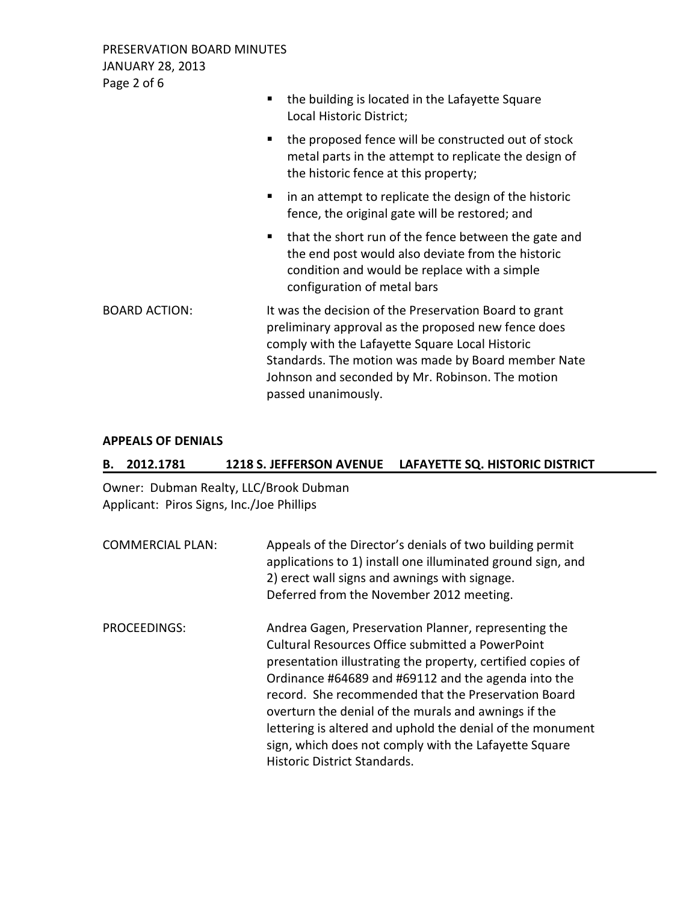PRESERVATION BOARD MINUTES JANUARY 28, 2013 Page 2 of 6

|                      | the building is located in the Lafayette Square<br>п<br>Local Historic District;                                                                                                                                                                                                                   |
|----------------------|----------------------------------------------------------------------------------------------------------------------------------------------------------------------------------------------------------------------------------------------------------------------------------------------------|
|                      | the proposed fence will be constructed out of stock<br>$\blacksquare$<br>metal parts in the attempt to replicate the design of<br>the historic fence at this property;                                                                                                                             |
|                      | in an attempt to replicate the design of the historic<br>п.<br>fence, the original gate will be restored; and                                                                                                                                                                                      |
|                      | that the short run of the fence between the gate and<br>the end post would also deviate from the historic<br>condition and would be replace with a simple<br>configuration of metal bars                                                                                                           |
| <b>BOARD ACTION:</b> | It was the decision of the Preservation Board to grant<br>preliminary approval as the proposed new fence does<br>comply with the Lafayette Square Local Historic<br>Standards. The motion was made by Board member Nate<br>Johnson and seconded by Mr. Robinson. The motion<br>passed unanimously. |

### **APPEALS OF DENIALS**

# **B. 2012.1781 1218 S. JEFFERSON AVENUE LAFAYETTE SQ. HISTORIC DISTRICT**

Owner: Dubman Realty, LLC/Brook Dubman Applicant: Piros Signs, Inc./Joe Phillips

| <b>COMMERCIAL PLAN:</b> | Appeals of the Director's denials of two building permit<br>applications to 1) install one illuminated ground sign, and<br>2) erect wall signs and awnings with signage.<br>Deferred from the November 2012 meeting.                                                                                                                                                                                                                                                                                 |
|-------------------------|------------------------------------------------------------------------------------------------------------------------------------------------------------------------------------------------------------------------------------------------------------------------------------------------------------------------------------------------------------------------------------------------------------------------------------------------------------------------------------------------------|
| PROCEEDINGS:            | Andrea Gagen, Preservation Planner, representing the<br>Cultural Resources Office submitted a PowerPoint<br>presentation illustrating the property, certified copies of<br>Ordinance #64689 and #69112 and the agenda into the<br>record. She recommended that the Preservation Board<br>overturn the denial of the murals and awnings if the<br>lettering is altered and uphold the denial of the monument<br>sign, which does not comply with the Lafayette Square<br>Historic District Standards. |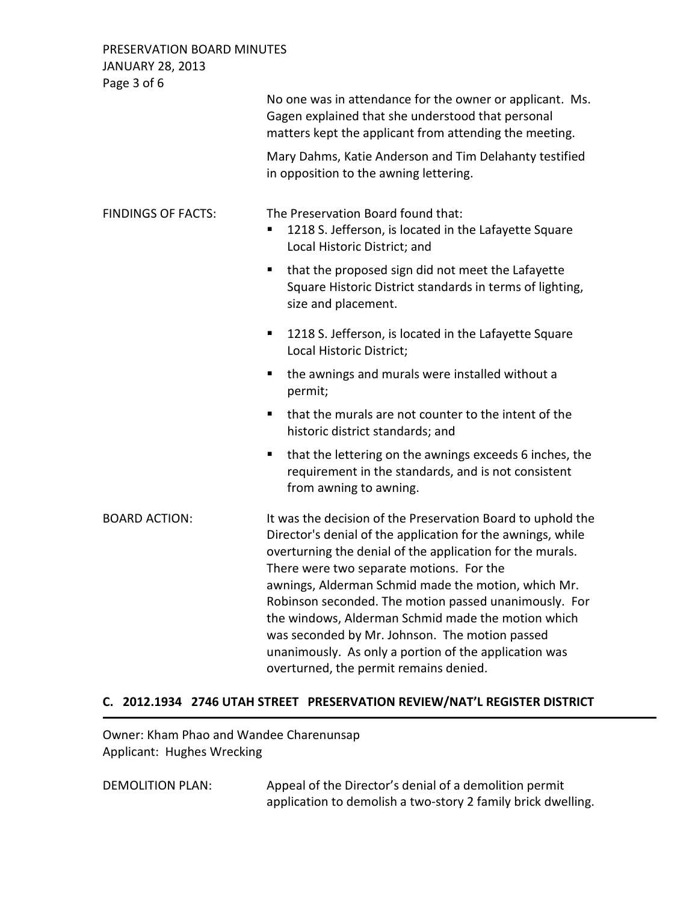PRESERVATION BOARD MINUTES JANUARY 28, 2013  $P$ ago  $3$  of  $6$ 

| Page 3 of 6               |                                                                                                                                                                                                                                                                                                                                                                                                                                                                                                                                                                |
|---------------------------|----------------------------------------------------------------------------------------------------------------------------------------------------------------------------------------------------------------------------------------------------------------------------------------------------------------------------------------------------------------------------------------------------------------------------------------------------------------------------------------------------------------------------------------------------------------|
|                           | No one was in attendance for the owner or applicant. Ms.<br>Gagen explained that she understood that personal<br>matters kept the applicant from attending the meeting.                                                                                                                                                                                                                                                                                                                                                                                        |
|                           | Mary Dahms, Katie Anderson and Tim Delahanty testified<br>in opposition to the awning lettering.                                                                                                                                                                                                                                                                                                                                                                                                                                                               |
| <b>FINDINGS OF FACTS:</b> | The Preservation Board found that:<br>1218 S. Jefferson, is located in the Lafayette Square<br>п<br>Local Historic District; and                                                                                                                                                                                                                                                                                                                                                                                                                               |
|                           | that the proposed sign did not meet the Lafayette<br>٠<br>Square Historic District standards in terms of lighting,<br>size and placement.                                                                                                                                                                                                                                                                                                                                                                                                                      |
|                           | 1218 S. Jefferson, is located in the Lafayette Square<br>п<br>Local Historic District;                                                                                                                                                                                                                                                                                                                                                                                                                                                                         |
|                           | the awnings and murals were installed without a<br>п<br>permit;                                                                                                                                                                                                                                                                                                                                                                                                                                                                                                |
|                           | that the murals are not counter to the intent of the<br>٠<br>historic district standards; and                                                                                                                                                                                                                                                                                                                                                                                                                                                                  |
|                           | that the lettering on the awnings exceeds 6 inches, the<br>п<br>requirement in the standards, and is not consistent<br>from awning to awning.                                                                                                                                                                                                                                                                                                                                                                                                                  |
| <b>BOARD ACTION:</b>      | It was the decision of the Preservation Board to uphold the<br>Director's denial of the application for the awnings, while<br>overturning the denial of the application for the murals.<br>There were two separate motions. For the<br>awnings, Alderman Schmid made the motion, which Mr.<br>Robinson seconded. The motion passed unanimously. For<br>the windows, Alderman Schmid made the motion which<br>was seconded by Mr. Johnson. The motion passed<br>unanimously. As only a portion of the application was<br>overturned, the permit remains denied. |

# **C. 2012.1934 2746 UTAH STREET PRESERVATION REVIEW/NAT'L REGISTER DISTRICT**

Owner: Kham Phao and Wandee Charenunsap Applicant: Hughes Wrecking

DEMOLITION PLAN: Appeal of the Director's denial of a demolition permit application to demolish a two-story 2 family brick dwelling.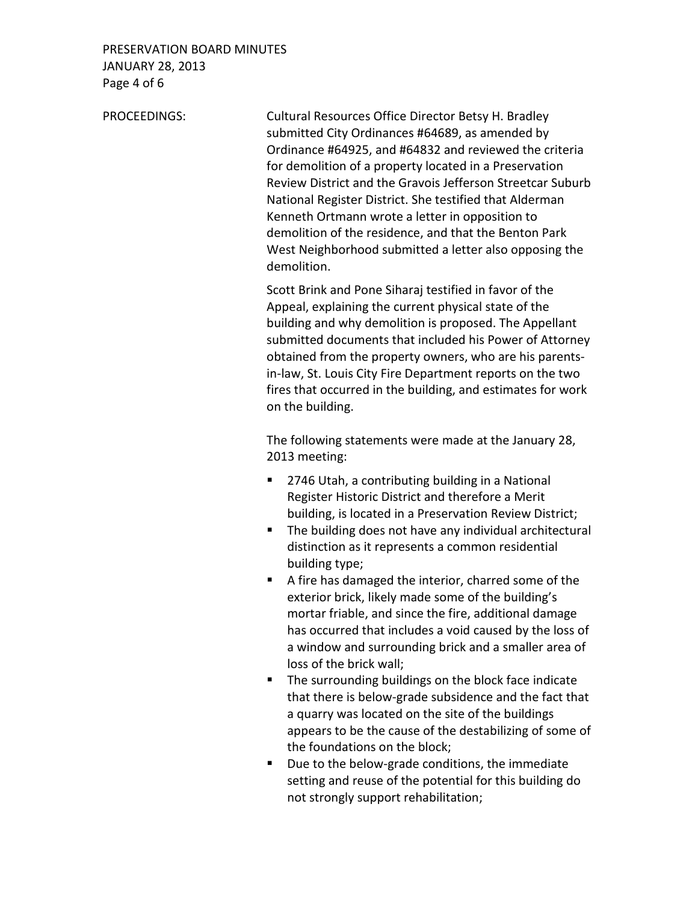## PRESERVATION BOARD MINUTES JANUARY 28, 2013 Page 4 of 6

PROCEEDINGS: Cultural Resources Office Director Betsy H. Bradley submitted City Ordinances #64689, as amended by Ordinance #64925, and #64832 and reviewed the criteria for demolition of a property located in a Preservation Review District and the Gravois Jefferson Streetcar Suburb National Register District. She testified that Alderman Kenneth Ortmann wrote a letter in opposition to demolition of the residence, and that the Benton Park West Neighborhood submitted a letter also opposing the demolition.

> Scott Brink and Pone Siharaj testified in favor of the Appeal, explaining the current physical state of the building and why demolition is proposed. The Appellant submitted documents that included his Power of Attorney obtained from the property owners, who are his parentsin-law, St. Louis City Fire Department reports on the two fires that occurred in the building, and estimates for work on the building.

The following statements were made at the January 28, 2013 meeting:

- 2746 Utah, a contributing building in a National Register Historic District and therefore a Merit building, is located in a Preservation Review District;
- **The building does not have any individual architectural** distinction as it represents a common residential building type;
- A fire has damaged the interior, charred some of the exterior brick, likely made some of the building's mortar friable, and since the fire, additional damage has occurred that includes a void caused by the loss of a window and surrounding brick and a smaller area of loss of the brick wall;
- **The surrounding buildings on the block face indicate** that there is below-grade subsidence and the fact that a quarry was located on the site of the buildings appears to be the cause of the destabilizing of some of the foundations on the block;
- Due to the below-grade conditions, the immediate setting and reuse of the potential for this building do not strongly support rehabilitation;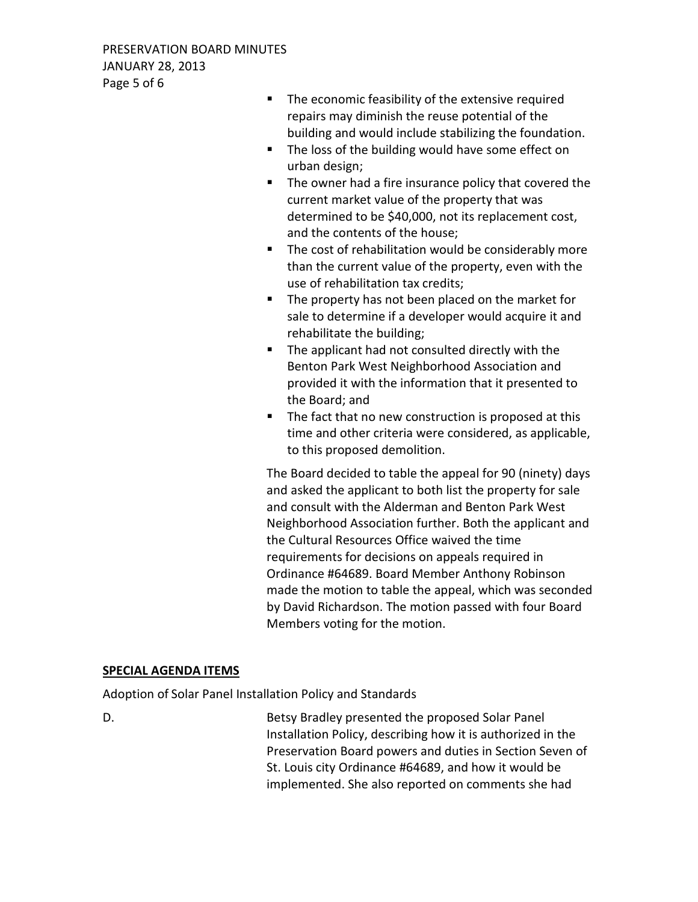- **The economic feasibility of the extensive required** repairs may diminish the reuse potential of the building and would include stabilizing the foundation.
- **The loss of the building would have some effect on** urban design;
- **The owner had a fire insurance policy that covered the** current market value of the property that was determined to be \$40,000, not its replacement cost, and the contents of the house;
- The cost of rehabilitation would be considerably more than the current value of the property, even with the use of rehabilitation tax credits;
- The property has not been placed on the market for sale to determine if a developer would acquire it and rehabilitate the building;
- The applicant had not consulted directly with the Benton Park West Neighborhood Association and provided it with the information that it presented to the Board; and
- The fact that no new construction is proposed at this time and other criteria were considered, as applicable, to this proposed demolition.

The Board decided to table the appeal for 90 (ninety) days and asked the applicant to both list the property for sale and consult with the Alderman and Benton Park West Neighborhood Association further. Both the applicant and the Cultural Resources Office waived the time requirements for decisions on appeals required in Ordinance #64689. Board Member Anthony Robinson made the motion to table the appeal, which was seconded by David Richardson. The motion passed with four Board Members voting for the motion.

## **SPECIAL AGENDA ITEMS**

Adoption of Solar Panel Installation Policy and Standards

D. Betsy Bradley presented the proposed Solar Panel Installation Policy, describing how it is authorized in the Preservation Board powers and duties in Section Seven of St. Louis city Ordinance #64689, and how it would be implemented. She also reported on comments she had